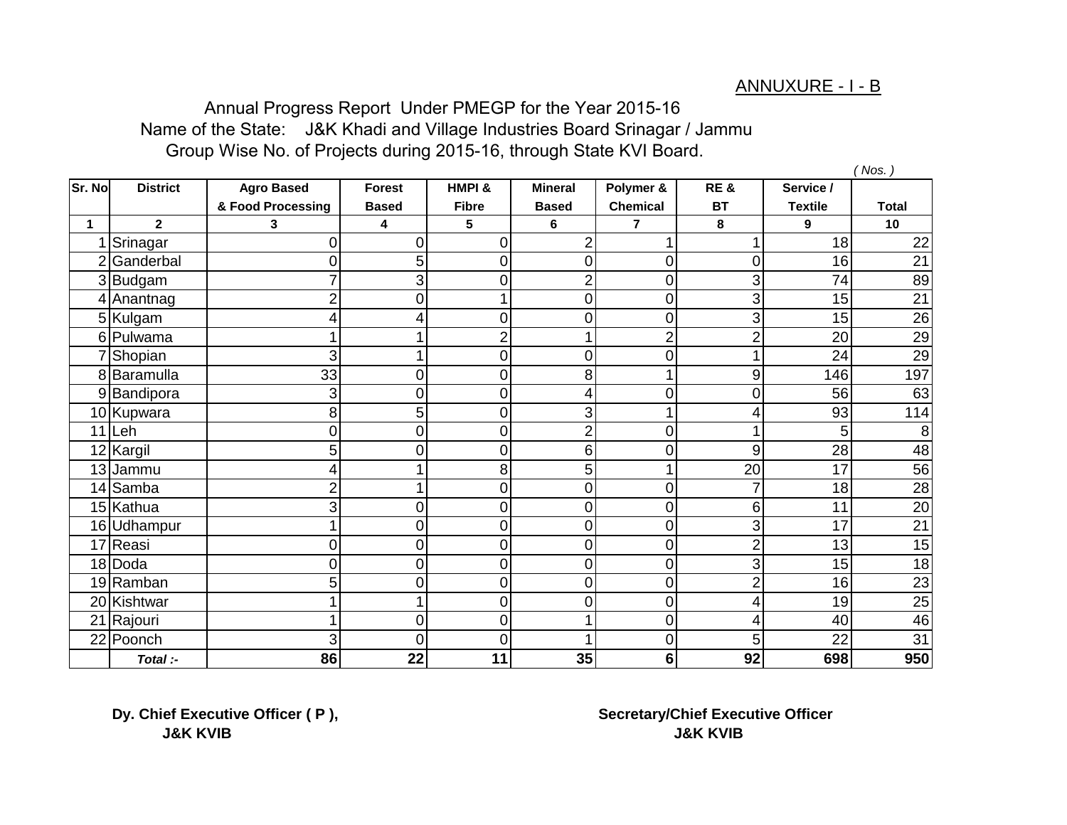# ANNUXURE - I - B

 Annual Progress Report Under PMEGP for the Year 2015-16 Name of the State: J&K Khadi and Village Industries Board Srinagar / Jammu Group Wise No. of Projects during 2015-16, through State KVI Board.

| Sr. No         | <b>District</b> | <b>Agro Based</b> | <b>Forest</b> | HMPI &         | <b>Mineral</b> | Polymer &       | RE&            | Service /      | (Nos. )         |
|----------------|-----------------|-------------------|---------------|----------------|----------------|-----------------|----------------|----------------|-----------------|
|                |                 | & Food Processing | <b>Based</b>  | <b>Fibre</b>   | <b>Based</b>   | <b>Chemical</b> | <b>BT</b>      | <b>Textile</b> | <b>Total</b>    |
|                |                 |                   |               |                |                |                 |                |                |                 |
| 1              | $\overline{2}$  | 3                 | 4             | 5              | 6              | $\overline{7}$  | 8              | 9              | 10              |
|                | Srinagar        | 0                 | 0             | 0              | $\overline{2}$ |                 |                | 18             | 22              |
| $\overline{2}$ | Ganderbal       | 0                 | 5             | $\overline{0}$ | 0              | 0               | 0              | 16             | $\overline{21}$ |
| 3              | Budgam          | 7                 | 3             | $\mathbf 0$    | $\overline{2}$ | $\overline{0}$  | 3              | 74             | 89              |
| 4              | Anantnag        | $\overline{c}$    | 0             | 1              | $\mathbf 0$    | $\mathbf 0$     | 3              | 15             | $\overline{21}$ |
|                | 5 Kulgam        | 4                 | 4             | 0              | $\mathbf 0$    | 0               | 3              | 15             | $\overline{26}$ |
| 6              | Pulwama         |                   |               | $\overline{2}$ | 4              | $\overline{2}$  | $\overline{2}$ | 20             | 29              |
|                | Shopian         | 3                 | 1             | 0              | $\mathbf 0$    | 0               |                | 24             | 29              |
| 8              | Baramulla       | 33                | $\mathbf 0$   | $\overline{0}$ | 8              |                 | 9              | 146            | 197             |
| 9              | Bandipora       | 3                 | 0             | $\mathbf 0$    | 4              | $\overline{0}$  | 0              | 56             | 63              |
|                | 10 Kupwara      | 8                 | 5             | 0              | 3              |                 | 4              | 93             | 114             |
|                | 11 Leh          | 0                 | 0             | 0              | $\overline{2}$ | 0               |                | 5              | 8               |
| 12             | Kargil          | 5                 | $\mathbf 0$   | $\mathbf 0$    | 6              | 0               | 9              | 28             | 48              |
| 13             | Jammu           | 4                 |               | 8              | 5              |                 | 20             | 17             | $\overline{56}$ |
|                | 14 Samba        | $\overline{2}$    |               | $\mathbf 0$    | $\mathbf 0$    | 0               |                | 18             | $\overline{28}$ |
| 15             | Kathua          | 3                 | 0             | 0              | $\mathbf 0$    | 0               | 6              | 11             | $\overline{20}$ |
| 16             | Udhampur        |                   | 0             | 0              | $\mathbf 0$    | 0               | 3              | 17             | $\overline{21}$ |
| 17             | Reasi           | $\overline{0}$    | 0             | 0              | $\mathbf 0$    | 0               | $\overline{2}$ | 13             | 15              |
| 18             | Doda            | $\overline{0}$    | $\mathbf 0$   | $\mathbf 0$    | $\mathbf 0$    | $\mathbf 0$     | 3              | 15             | 18              |
|                | 19 Ramban       | 5                 | 0             | $\mathbf 0$    | $\mathbf 0$    | $\overline{0}$  | $\overline{2}$ | 16             | $\overline{23}$ |
|                | 20 Kishtwar     |                   | 1             | 0              | $\mathbf 0$    | 0               | 4              | 19             | $\overline{25}$ |
| 21             | Rajouri         |                   | 0             | $\mathbf 0$    | 1              | 0               | 4              | 40             | 46              |
| 22             | Poonch          | 3                 | $\mathbf 0$   | $\mathbf 0$    | и              | 0               | 5              | 22             | $\overline{31}$ |
|                | Total :-        | 86                | 22            | 11             | 35             | 6               | 92             | 698            | 950             |

 **J&K KVIB J&K KVIB**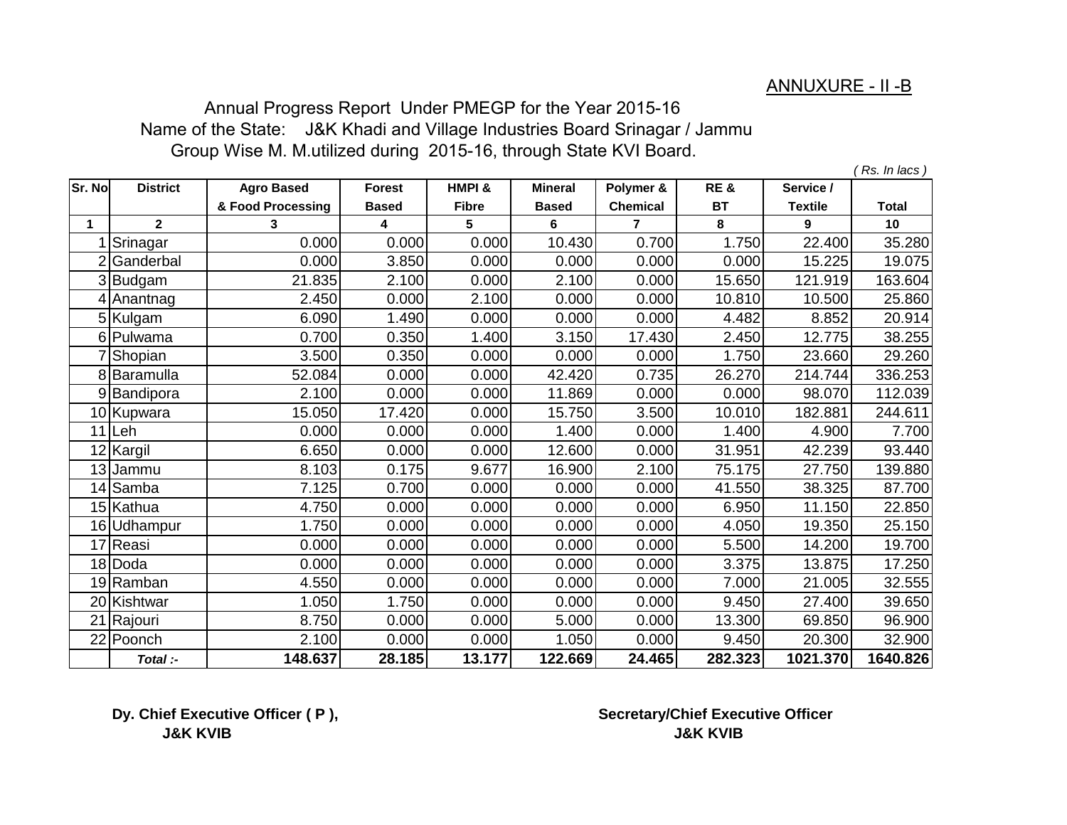## ANNUXURE - II -B

 Annual Progress Report Under PMEGP for the Year 2015-16 Name of the State: J&K Khadi and Village Industries Board Srinagar / Jammu Group Wise M. M.utilized during 2015-16, through State KVI Board.

*( Rs. In lacs )*

| Sr. No | <b>District</b> | <b>Agro Based</b> | <b>Forest</b> | HMPI &       | <b>Mineral</b> | Polymer &       | RE&       | Service /      |              |
|--------|-----------------|-------------------|---------------|--------------|----------------|-----------------|-----------|----------------|--------------|
|        |                 | & Food Processing | <b>Based</b>  | <b>Fibre</b> | <b>Based</b>   | <b>Chemical</b> | <b>BT</b> | <b>Textile</b> | <b>Total</b> |
| 1      | $\mathbf{2}$    | 3                 | 4             | 5            | 6              |                 | 8         | 9              | 10           |
|        | Srinagar        | 0.000             | 0.000         | 0.000        | 10.430         | 0.700           | 1.750     | 22.400         | 35.280       |
|        | Ganderbal       | 0.000             | 3.850         | 0.000        | 0.000          | 0.000           | 0.000     | 15.225         | 19.075       |
|        | 3 Budgam        | 21.835            | 2.100         | 0.000        | 2.100          | 0.000           | 15.650    | 121.919        | 163.604      |
| 4      | Anantnag        | 2.450             | 0.000         | 2.100        | 0.000          | 0.000           | 10.810    | 10.500         | 25.860       |
|        | 5 Kulgam        | 6.090             | 1.490         | 0.000        | 0.000          | 0.000           | 4.482     | 8.852          | 20.914       |
|        | 6 Pulwama       | 0.700             | 0.350         | 1.400        | 3.150          | 17.430          | 2.450     | 12.775         | 38.255       |
|        | Shopian         | 3.500             | 0.350         | 0.000        | 0.000          | 0.000           | 1.750     | 23.660         | 29.260       |
| 8      | Baramulla       | 52.084            | 0.000         | 0.000        | 42.420         | 0.735           | 26.270    | 214.744        | 336.253      |
| 9      | Bandipora       | 2.100             | 0.000         | 0.000        | 11.869         | 0.000           | 0.000     | 98.070         | 112.039      |
|        | 10 Kupwara      | 15.050            | 17.420        | 0.000        | 15.750         | 3.500           | 10.010    | 182.881        | 244.611      |
| 11     | Leh             | 0.000             | 0.000         | 0.000        | 1.400          | 0.000           | 1.400     | 4.900          | 7.700        |
| 12     | Kargil          | 6.650             | 0.000         | 0.000        | 12.600         | 0.000           | 31.951    | 42.239         | 93.440       |
|        | 13 Jammu        | 8.103             | 0.175         | 9.677        | 16.900         | 2.100           | 75.175    | 27.750         | 139.880      |
| 14     | Samba           | 7.125             | 0.700         | 0.000        | 0.000          | 0.000           | 41.550    | 38.325         | 87.700       |
|        | 15 Kathua       | 4.750             | 0.000         | 0.000        | 0.000          | 0.000           | 6.950     | 11.150         | 22.850       |
|        | 16 Udhampur     | 1.750             | 0.000         | 0.000        | 0.000          | 0.000           | 4.050     | 19.350         | 25.150       |
| 17     | Reasi           | 0.000             | 0.000         | 0.000        | 0.000          | 0.000           | 5.500     | 14.200         | 19.700       |
| 18     | Doda            | 0.000             | 0.000         | 0.000        | 0.000          | 0.000           | 3.375     | 13.875         | 17.250       |
|        | 19 Ramban       | 4.550             | 0.000         | 0.000        | 0.000          | 0.000           | 7.000     | 21.005         | 32.555       |
|        | 20 Kishtwar     | 1.050             | 1.750         | 0.000        | 0.000          | 0.000           | 9.450     | 27.400         | 39.650       |
| 21     | Rajouri         | 8.750             | 0.000         | 0.000        | 5.000          | 0.000           | 13.300    | 69.850         | 96.900       |
| 22     | Poonch          | 2.100             | 0.000         | 0.000        | 1.050          | 0.000           | 9.450     | 20.300         | 32.900       |
|        | Total :-        | 148.637           | 28.185        | 13.177       | 122.669        | 24.465          | 282.323   | 1021.370       | 1640.826     |

 **J&K KVIB J&K KVIB**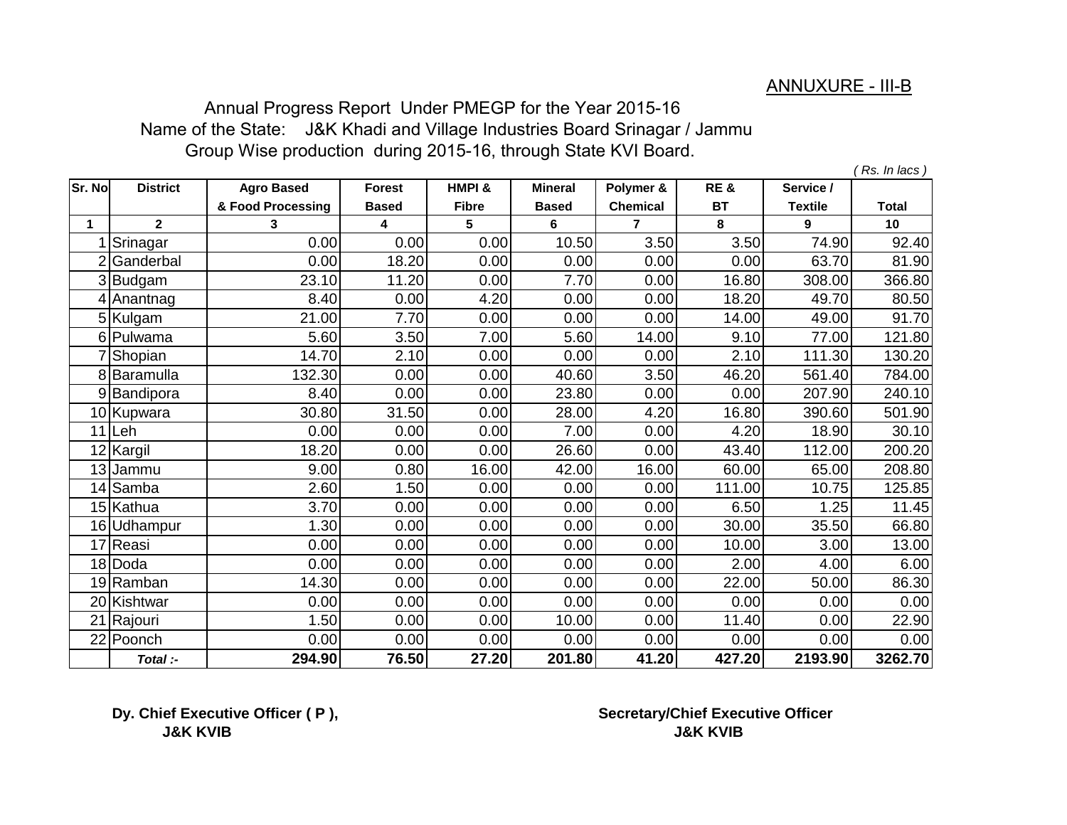### ANNUXURE - III-B

 Annual Progress Report Under PMEGP for the Year 2015-16 Name of the State: J&K Khadi and Village Industries Board Srinagar / Jammu Group Wise production during 2015-16, through State KVI Board.

*( Rs. In lacs )*

| Sr. No | <b>District</b> | <b>Agro Based</b> | <b>Forest</b> | HMPI &       | <b>Mineral</b> | Polymer &       | RE&       | Service /      |              |
|--------|-----------------|-------------------|---------------|--------------|----------------|-----------------|-----------|----------------|--------------|
|        |                 | & Food Processing | <b>Based</b>  | <b>Fibre</b> | <b>Based</b>   | <b>Chemical</b> | <b>BT</b> | <b>Textile</b> | <b>Total</b> |
| 1      | $\mathbf{2}$    | 3                 | 4             | 5            | 6              | 7               | 8         | 9              | 10           |
|        | Srinagar        | 0.00              | 0.00          | 0.00         | 10.50          | 3.50            | 3.50      | 74.90          | 92.40        |
|        | Ganderbal       | 0.00              | 18.20         | 0.00         | 0.00           | 0.00            | 0.00      | 63.70          | 81.90        |
|        | 3 Budgam        | 23.10             | 11.20         | 0.00         | 7.70           | 0.00            | 16.80     | 308.00         | 366.80       |
| 4      | Anantnag        | 8.40              | 0.00          | 4.20         | 0.00           | 0.00            | 18.20     | 49.70          | 80.50        |
|        | 5 Kulgam        | 21.00             | 7.70          | 0.00         | 0.00           | 0.00            | 14.00     | 49.00          | 91.70        |
|        | 6 Pulwama       | 5.60              | 3.50          | 7.00         | 5.60           | 14.00           | 9.10      | 77.00          | 121.80       |
|        | Shopian         | 14.70             | 2.10          | 0.00         | 0.00           | 0.00            | 2.10      | 111.30         | 130.20       |
| 8      | Baramulla       | 132.30            | 0.00          | 0.00         | 40.60          | 3.50            | 46.20     | 561.40         | 784.00       |
|        | Bandipora       | 8.40              | 0.00          | 0.00         | 23.80          | 0.00            | 0.00      | 207.90         | 240.10       |
|        | 10 Kupwara      | 30.80             | 31.50         | 0.00         | 28.00          | 4.20            | 16.80     | 390.60         | 501.90       |
| 11     | Leh             | 0.00              | 0.00          | 0.00         | 7.00           | 0.00            | 4.20      | 18.90          | 30.10        |
| 12     | Kargil          | 18.20             | 0.00          | 0.00         | 26.60          | 0.00            | 43.40     | 112.00         | 200.20       |
| 13     | Jammu           | 9.00              | 0.80          | 16.00        | 42.00          | 16.00           | 60.00     | 65.00          | 208.80       |
|        | 14 Samba        | 2.60              | 1.50          | 0.00         | 0.00           | 0.00            | 111.00    | 10.75          | 125.85       |
|        | 15 Kathua       | 3.70              | 0.00          | 0.00         | 0.00           | 0.00            | 6.50      | 1.25           | 11.45        |
|        | 16 Udhampur     | 1.30              | 0.00          | 0.00         | 0.00           | 0.00            | 30.00     | 35.50          | 66.80        |
| 17     | Reasi           | 0.00              | 0.00          | 0.00         | 0.00           | 0.00            | 10.00     | 3.00           | 13.00        |
| 18     | Doda            | 0.00              | 0.00          | 0.00         | 0.00           | 0.00            | 2.00      | 4.00           | 6.00         |
|        | 19 Ramban       | 14.30             | 0.00          | 0.00         | 0.00           | 0.00            | 22.00     | 50.00          | 86.30        |
|        | 20 Kishtwar     | 0.00              | 0.00          | 0.00         | 0.00           | 0.00            | 0.00      | 0.00           | 0.00         |
| 21     | Rajouri         | 1.50              | 0.00          | 0.00         | 10.00          | 0.00            | 11.40     | 0.00           | 22.90        |
| 22     | Poonch          | 0.00              | 0.00          | 0.00         | 0.00           | 0.00            | 0.00      | 0.00           | 0.00         |
|        | Total :-        | 294.90            | 76.50         | 27.20        | 201.80         | 41.20           | 427.20    | 2193.90        | 3262.70      |

 **J&K KVIB J&K KVIB**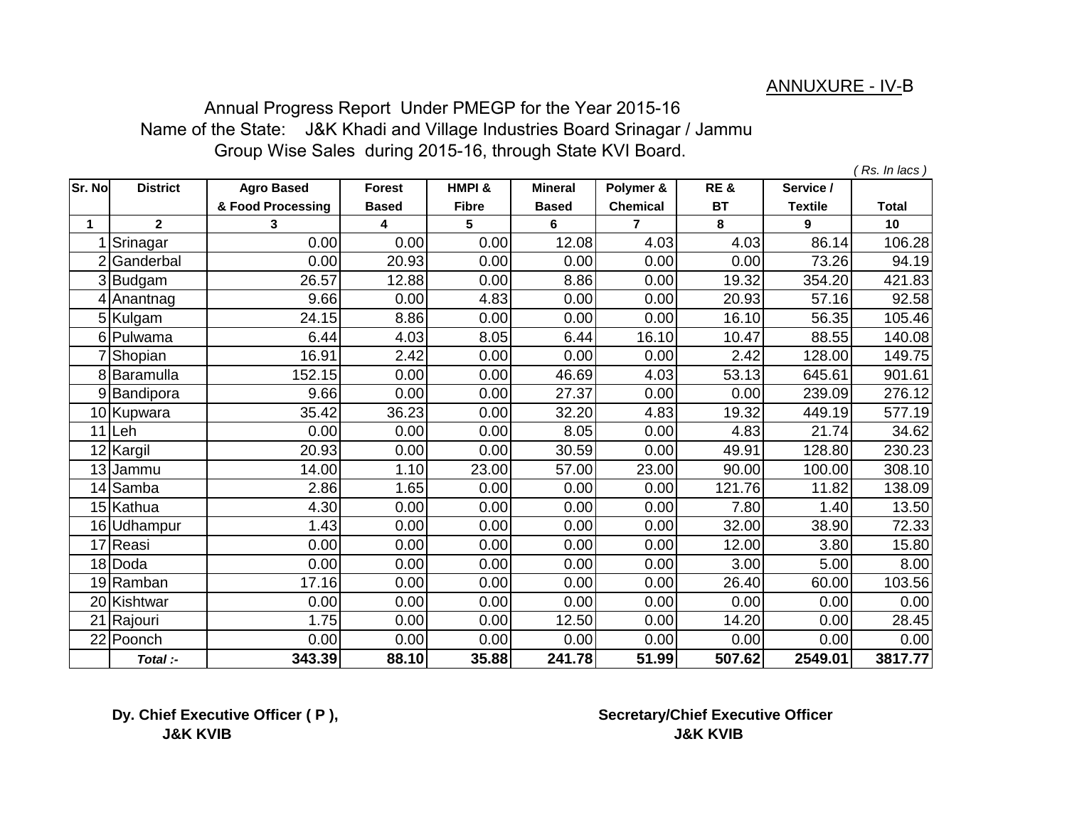### ANNUXURE - IV-B

 Annual Progress Report Under PMEGP for the Year 2015-16 Name of the State: J&K Khadi and Village Industries Board Srinagar / Jammu Group Wise Sales during 2015-16, through State KVI Board.

*( Rs. In lacs )*

| Sr. No | <b>District</b> | <b>Agro Based</b> | <b>Forest</b> | HMPI &       | <b>Mineral</b> | Polymer &       | RE&       | Service /      |              |
|--------|-----------------|-------------------|---------------|--------------|----------------|-----------------|-----------|----------------|--------------|
|        |                 | & Food Processing | <b>Based</b>  | <b>Fibre</b> | <b>Based</b>   | <b>Chemical</b> | <b>BT</b> | <b>Textile</b> | <b>Total</b> |
| 1      | $\mathbf{2}$    | 3                 | 4             | 5            | 6              | 7               | 8         | 9              | 10           |
|        | Srinagar        | 0.00              | 0.00          | 0.00         | 12.08          | 4.03            | 4.03      | 86.14          | 106.28       |
|        | Ganderbal       | 0.00              | 20.93         | 0.00         | 0.00           | 0.00            | 0.00      | 73.26          | 94.19        |
|        | 3 Budgam        | 26.57             | 12.88         | 0.00         | 8.86           | 0.00            | 19.32     | 354.20         | 421.83       |
|        | 4 Anantnag      | 9.66              | 0.00          | 4.83         | 0.00           | 0.00            | 20.93     | 57.16          | 92.58        |
|        | 5 Kulgam        | 24.15             | 8.86          | 0.00         | 0.00           | 0.00            | 16.10     | 56.35          | 105.46       |
|        | 6 Pulwama       | 6.44              | 4.03          | 8.05         | 6.44           | 16.10           | 10.47     | 88.55          | 140.08       |
|        | Shopian         | 16.91             | 2.42          | 0.00         | 0.00           | 0.00            | 2.42      | 128.00         | 149.75       |
|        | 8 Baramulla     | 152.15            | 0.00          | 0.00         | 46.69          | 4.03            | 53.13     | 645.61         | 901.61       |
|        | 9 Bandipora     | 9.66              | 0.00          | 0.00         | 27.37          | 0.00            | 0.00      | 239.09         | 276.12       |
|        | 10 Kupwara      | 35.42             | 36.23         | 0.00         | 32.20          | 4.83            | 19.32     | 449.19         | 577.19       |
|        | 11 Leh          | 0.00              | 0.00          | 0.00         | 8.05           | 0.00            | 4.83      | 21.74          | 34.62        |
|        | 12 Kargil       | 20.93             | 0.00          | 0.00         | 30.59          | 0.00            | 49.91     | 128.80         | 230.23       |
|        | 13 Jammu        | 14.00             | 1.10          | 23.00        | 57.00          | 23.00           | 90.00     | 100.00         | 308.10       |
|        | 14 Samba        | 2.86              | 1.65          | 0.00         | 0.00           | 0.00            | 121.76    | 11.82          | 138.09       |
|        | 15 Kathua       | 4.30              | 0.00          | 0.00         | 0.00           | 0.00            | 7.80      | 1.40           | 13.50        |
|        | 16 Udhampur     | 1.43              | 0.00          | 0.00         | 0.00           | 0.00            | 32.00     | 38.90          | 72.33        |
|        | 17 Reasi        | 0.00              | 0.00          | 0.00         | 0.00           | 0.00            | 12.00     | 3.80           | 15.80        |
|        | 18 Doda         | 0.00              | 0.00          | 0.00         | 0.00           | 0.00            | 3.00      | 5.00           | 8.00         |
|        | 19 Ramban       | 17.16             | 0.00          | 0.00         | 0.00           | 0.00            | 26.40     | 60.00          | 103.56       |
|        | 20 Kishtwar     | 0.00              | 0.00          | 0.00         | 0.00           | 0.00            | 0.00      | 0.00           | 0.00         |
|        | 21 Rajouri      | 1.75              | 0.00          | 0.00         | 12.50          | 0.00            | 14.20     | 0.00           | 28.45        |
|        | 22 Poonch       | 0.00              | 0.00          | 0.00         | 0.00           | 0.00            | 0.00      | 0.00           | 0.00         |
|        | Total :-        | 343.39            | 88.10         | 35.88        | 241.78         | 51.99           | 507.62    | 2549.01        | 3817.77      |

 **J&K KVIB J&K KVIB**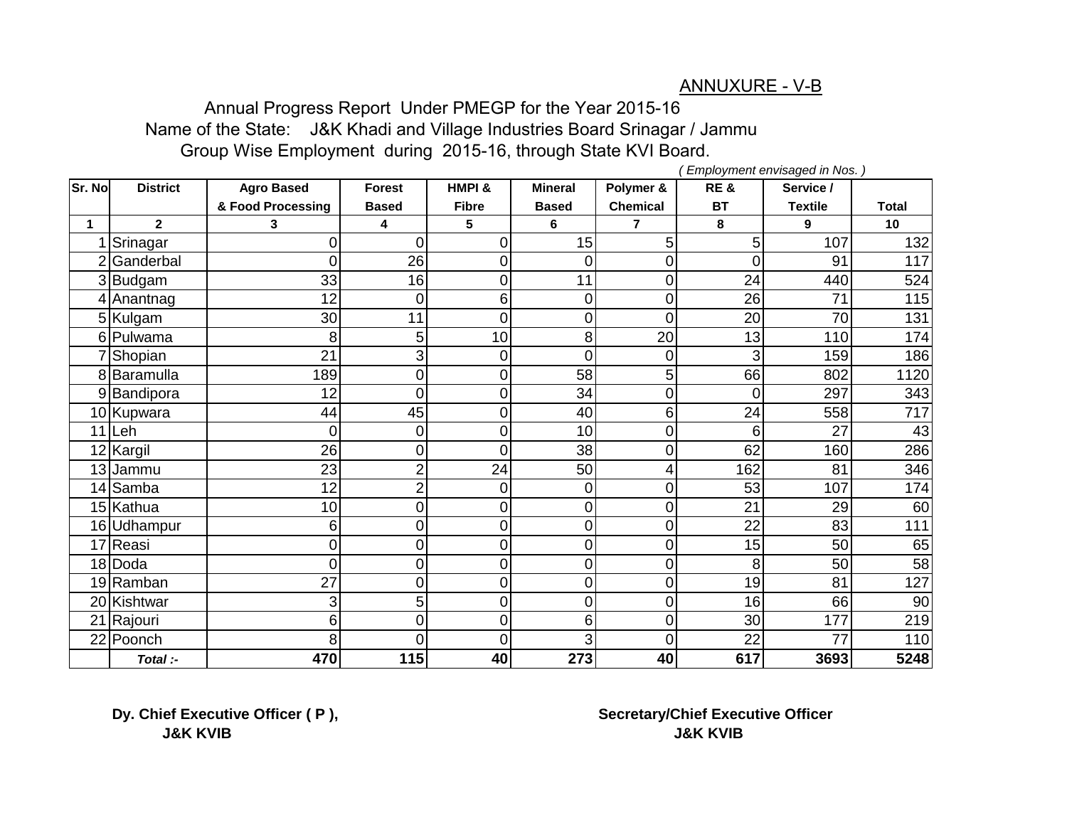#### ANNUXURE - V-B

 Annual Progress Report Under PMEGP for the Year 2015-16 Name of the State: J&K Khadi and Village Industries Board Srinagar / Jammu Group Wise Employment during 2015-16, through State KVI Board.

*( Employment envisaged in Nos. )*

| Sr. No       | <b>District</b> | <b>Agro Based</b> | <b>Forest</b>  | HMPI &       | <b>Mineral</b> | Polymer &       | RE&       | Service /      |                 |
|--------------|-----------------|-------------------|----------------|--------------|----------------|-----------------|-----------|----------------|-----------------|
|              |                 | & Food Processing | <b>Based</b>   | <b>Fibre</b> | <b>Based</b>   | <b>Chemical</b> | <b>BT</b> | <b>Textile</b> | <b>Total</b>    |
| $\mathbf{1}$ | $\mathbf{2}$    | 3                 | 4              | 5            | 6              | $\overline{7}$  | 8         | 9              | 10              |
|              | Srinagar        | 0                 | 0              | 0            | 15             | 5               | 5         | 107            | 132             |
|              | Ganderbal       | 0                 | 26             | 0            | 0              | 0               | 0         | 91             | 117             |
|              | 3Budgam         | 33                | 16             | 0            | 11             | 0               | 24        | 440            | 524             |
|              | 4 Anantnag      | 12                | 0              | 6            | 0              | 0               | 26        | 71             | 115             |
|              | 5 Kulgam        | 30                | 11             | 0            | 0              | 0               | 20        | 70             | 131             |
|              | 6 Pulwama       | 8                 | 5              | 10           | 8              | 20              | 13        | 110            | 174             |
|              | 7 Shopian       | 21                | 3              | 0            | 0              | 0               | 3         | 159            | 186             |
|              | 8Baramulla      | 189               | $\mathbf 0$    | 0            | 58             | 5               | 66        | 802            | 1120            |
|              | 9Bandipora      | 12                | 0              | 0            | 34             | 0               | 0         | 297            | 343             |
|              | 10 Kupwara      | 44                | 45             | 0            | 40             | 6               | 24        | 558            | 717             |
|              | 11 Leh          | $\Omega$          | 0              | 0            | 10             | 0               | 6         | 27             | 43              |
|              | 12 Kargil       | 26                | 0              | 0            | 38             | 0               | 62        | 160            | 286             |
|              | 13 Jammu        | 23                | $\overline{c}$ | 24           | 50             | 4               | 162       | 81             | 346             |
|              | 14 Samba        | 12                | 2              | 0            | 0              | 0               | 53        | 107            | 174             |
|              | 15 Kathua       | 10                | 0              | 0            | 0              | 0               | 21        | 29             | 60              |
|              | 16 Udhampur     | 6                 | 0              | 0            | 0              | 0               | 22        | 83             | 111             |
|              | 17 Reasi        | 0                 | 0              | 0            | 0              | 0               | 15        | 50             | $\overline{65}$ |
|              | 18 Doda         | 0                 | $\mathbf 0$    | 0            | 0              | 0               | 8         | 50             | 58              |
|              | 19 Ramban       | 27                | 0              | 0            | 0              | 0               | 19        | 81             | 127             |
|              | 20 Kishtwar     | 3                 | 5              | 0            | 0              | 0               | 16        | 66             | $90\,$          |
|              | 21 Rajouri      | 6                 | 0              | 0            | 6              | 0               | 30        | 177            | 219             |
|              | 22 Poonch       | 8                 | $\mathbf 0$    | 0            | 3              | 0               | 22        | 77             | 110             |
|              | Total :-        | 470               | 115            | 40           | 273            | 40              | 617       | 3693           | 5248            |

 **J&K KVIB J&K KVIB**